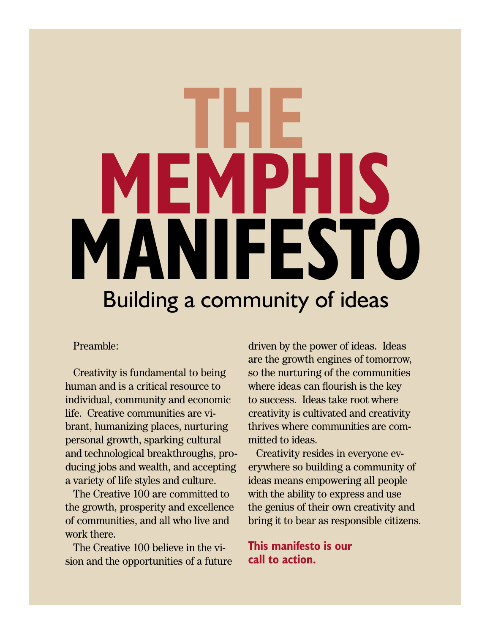# Building a community of ideas **THE MEMPHIS MANIFESTO**

#### Preamble:

Creativity is fundamental to being human and is a critical resource to individual, community and economic life. Creative communities are vibrant, humanizing places, nurturing personal growth, sparking cultural and technological breakthroughs, producing jobs and wealth, and accepting a variety of life styles and culture.

The Creative 100 are committed to the growth, prosperity and excellence of communities, and all who live and work there.

The Creative 100 believe in the vision and the opportunities of a future driven by the power of ideas. Ideas are the growth engines of tomorrow, so the nurturing of the communities where ideas can flourish is the key to success. Ideas take root where creativity is cultivated and creativity thrives where communities are committed to ideas.

Creativity resides in everyone everywhere so building a community of ideas means empowering all people with the ability to express and use the genius of their own creativity and bring it to bear as responsible citizens.

**This manifesto is our call to action.**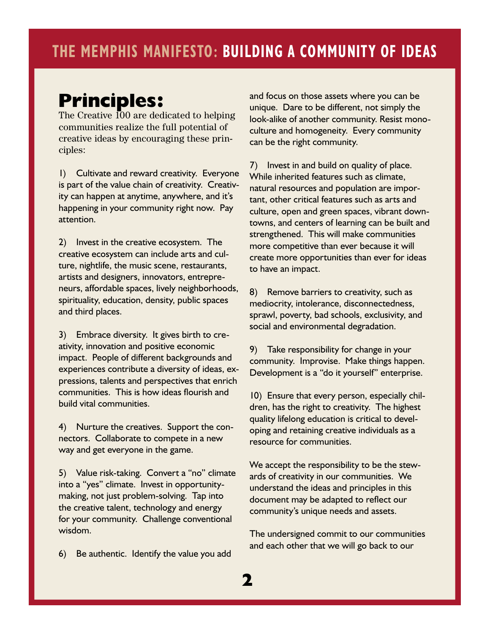## **Principles:**

The Creative 100 are dedicated to helping communities realize the full potential of creative ideas by encouraging these principles:

1) Cultivate and reward creativity. Everyone is part of the value chain of creativity. Creativity can happen at anytime, anywhere, and it's happening in your community right now. Pay attention.

2) Invest in the creative ecosystem. The creative ecosystem can include arts and culture, nightlife, the music scene, restaurants, artists and designers, innovators, entrepreneurs, affordable spaces, lively neighborhoods, spirituality, education, density, public spaces and third places.

3) Embrace diversity. It gives birth to creativity, innovation and positive economic impact. People of different backgrounds and experiences contribute a diversity of ideas, expressions, talents and perspectives that enrich communities. This is how ideas flourish and build vital communities.

4) Nurture the creatives. Support the connectors. Collaborate to compete in a new way and get everyone in the game.

5) Value risk-taking. Convert a "no" climate into a "yes" climate. Invest in opportunitymaking, not just problem-solving. Tap into the creative talent, technology and energy for your community. Challenge conventional wisdom.

6) Be authentic. Identify the value you add

and focus on those assets where you can be unique. Dare to be different, not simply the look-alike of another community. Resist monoculture and homogeneity. Every community can be the right community.

7) Invest in and build on quality of place. While inherited features such as climate, natural resources and population are important, other critical features such as arts and culture, open and green spaces, vibrant downtowns, and centers of learning can be built and strengthened. This will make communities more competitive than ever because it will create more opportunities than ever for ideas to have an impact.

8) Remove barriers to creativity, such as mediocrity, intolerance, disconnectedness, sprawl, poverty, bad schools, exclusivity, and social and environmental degradation.

9) Take responsibility for change in your community. Improvise. Make things happen. Development is a "do it yourself" enterprise.

10) Ensure that every person, especially children, has the right to creativity. The highest quality lifelong education is critical to developing and retaining creative individuals as a resource for communities.

We accept the responsibility to be the stewards of creativity in our communities. We understand the ideas and principles in this document may be adapted to reflect our community's unique needs and assets.

The undersigned commit to our communities and each other that we will go back to our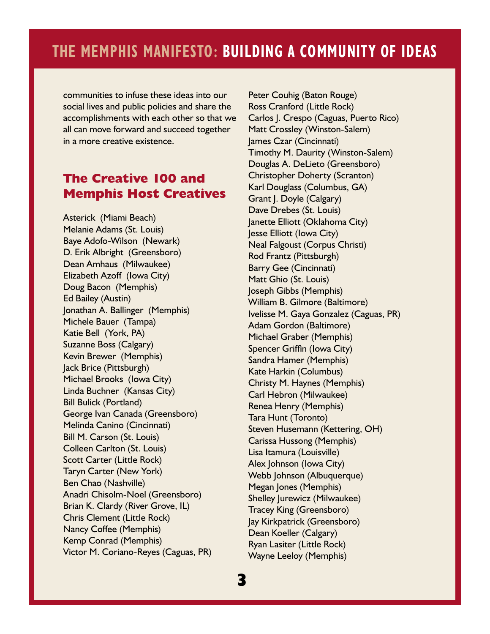## **THE MEMPHIS MANIFESTO: BUILDING A COMMUNITY OF IDEAS**

communities to infuse these ideas into our social lives and public policies and share the accomplishments with each other so that we all can move forward and succeed together in a more creative existence.

#### **The Creative 100 and Memphis Host Creatives**

Asterick (Miami Beach) Melanie Adams (St. Louis) Baye Adofo-Wilson (Newark) D. Erik Albright (Greensboro) Dean Amhaus (Milwaukee) Elizabeth Azoff (Iowa City) Doug Bacon (Memphis) Ed Bailey (Austin) Jonathan A. Ballinger (Memphis) Michele Bauer (Tampa) Katie Bell (York, PA) Suzanne Boss (Calgary) Kevin Brewer (Memphis) Jack Brice (Pittsburgh) Michael Brooks (Iowa City) Linda Buchner (Kansas City) Bill Bulick (Portland) George Ivan Canada (Greensboro) Melinda Canino (Cincinnati) Bill M. Carson (St. Louis) Colleen Carlton (St. Louis) Scott Carter (Little Rock) Taryn Carter (New York) Ben Chao (Nashville) Anadri Chisolm-Noel (Greensboro) Brian K. Clardy (River Grove, IL) Chris Clement (Little Rock) Nancy Coffee (Memphis) Kemp Conrad (Memphis) Victor M. Coriano-Reyes (Caguas, PR) Peter Couhig (Baton Rouge) Ross Cranford (Little Rock) Carlos J. Crespo (Caguas, Puerto Rico) Matt Crossley (Winston-Salem) James Czar (Cincinnati) Timothy M. Daurity (Winston-Salem) Douglas A. DeLieto (Greensboro) Christopher Doherty (Scranton) Karl Douglass (Columbus, GA) Grant J. Doyle (Calgary) Dave Drebes (St. Louis) Janette Elliott (Oklahoma City) Jesse Elliott (Iowa City) Neal Falgoust (Corpus Christi) Rod Frantz (Pittsburgh) Barry Gee (Cincinnati) Matt Ghio (St. Louis) Joseph Gibbs (Memphis) William B. Gilmore (Baltimore) Ivelisse M. Gaya Gonzalez (Caguas, PR) Adam Gordon (Baltimore) Michael Graber (Memphis) Spencer Griffin (Iowa City) Sandra Hamer (Memphis) Kate Harkin (Columbus) Christy M. Haynes (Memphis) Carl Hebron (Milwaukee) Renea Henry (Memphis) Tara Hunt (Toronto) Steven Husemann (Kettering, OH) Carissa Hussong (Memphis) Lisa Itamura (Louisville) Alex Johnson (Iowa City) Webb Johnson (Albuquerque) Megan Jones (Memphis) Shelley Jurewicz (Milwaukee) Tracey King (Greensboro) Jay Kirkpatrick (Greensboro) Dean Koeller (Calgary) Ryan Lasiter (Little Rock) Wayne Leeloy (Memphis)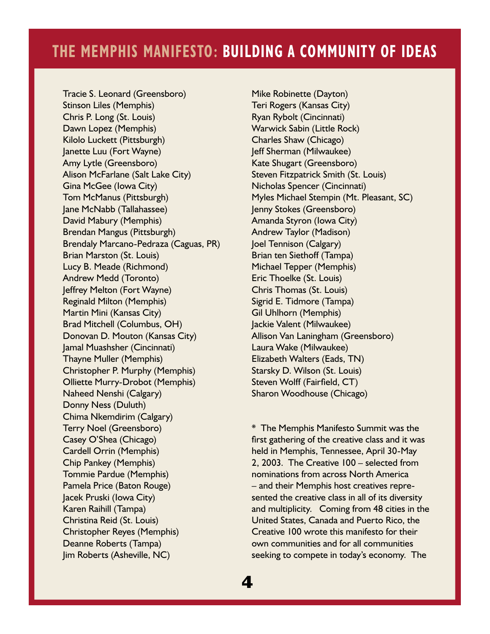Tracie S. Leonard (Greensboro) Stinson Liles (Memphis) Chris P. Long (St. Louis) Dawn Lopez (Memphis) Kilolo Luckett (Pittsburgh) Janette Luu (Fort Wayne) Amy Lytle (Greensboro) Alison McFarlane (Salt Lake City) Gina McGee (Iowa City) Tom McManus (Pittsburgh) Jane McNabb (Tallahassee) David Mabury (Memphis) Brendan Mangus (Pittsburgh) Brendaly Marcano-Pedraza (Caguas, PR) Brian Marston (St. Louis) Lucy B. Meade (Richmond) Andrew Medd (Toronto) Jeffrey Melton (Fort Wayne) Reginald Milton (Memphis) Martin Mini (Kansas City) Brad Mitchell (Columbus, OH) Donovan D. Mouton (Kansas City) Jamal Muashsher (Cincinnati) Thayne Muller (Memphis) Christopher P. Murphy (Memphis) Olliette Murry-Drobot (Memphis) Naheed Nenshi (Calgary) Donny Ness (Duluth) Chima Nkemdirim (Calgary) Terry Noel (Greensboro) Casey O'Shea (Chicago) Cardell Orrin (Memphis) Chip Pankey (Memphis) Tommie Pardue (Memphis) Pamela Price (Baton Rouge) Jacek Pruski (Iowa City) Karen Raihill (Tampa) Christina Reid (St. Louis) Christopher Reyes (Memphis) Deanne Roberts (Tampa) Jim Roberts (Asheville, NC)

Mike Robinette (Dayton) Teri Rogers (Kansas City) Ryan Rybolt (Cincinnati) Warwick Sabin (Little Rock) Charles Shaw (Chicago) Jeff Sherman (Milwaukee) Kate Shugart (Greensboro) Steven Fitzpatrick Smith (St. Louis) Nicholas Spencer (Cincinnati) Myles Michael Stempin (Mt. Pleasant, SC) Jenny Stokes (Greensboro) Amanda Styron (Iowa City) Andrew Taylor (Madison) Joel Tennison (Calgary) Brian ten Siethoff (Tampa) Michael Tepper (Memphis) Eric Thoelke (St. Louis) Chris Thomas (St. Louis) Sigrid E. Tidmore (Tampa) Gil Uhlhorn (Memphis) Jackie Valent (Milwaukee) Allison Van Laningham (Greensboro) Laura Wake (Milwaukee) Elizabeth Walters (Eads, TN) Starsky D. Wilson (St. Louis) Steven Wolff (Fairfield, CT) Sharon Woodhouse (Chicago)

\* The Memphis Manifesto Summit was the first gathering of the creative class and it was held in Memphis, Tennessee, April 30-May 2, 2003. The Creative 100 – selected from nominations from across North America – and their Memphis host creatives represented the creative class in all of its diversity and multiplicity. Coming from 48 cities in the United States, Canada and Puerto Rico, the Creative 100 wrote this manifesto for their own communities and for all communities seeking to compete in today's economy. The